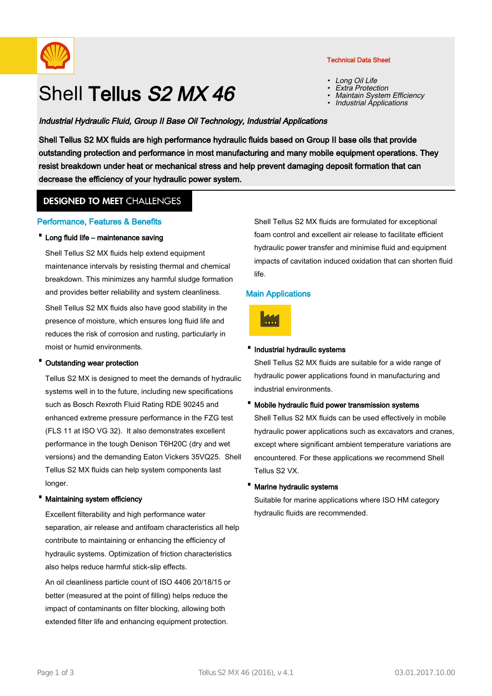

# Shell Tellus S<sub>2</sub> MX 46

Technical Data Sheet

- •Long Oil Life
- •Extra Protection
- •Maintain System Efficiency
- •Industrial Applications

## Industrial Hydraulic Fluid, Group II Base Oil Technology, Industrial Applications

Shell Tellus S2 MX fluids are high performance hydraulic fluids based on Group II base oils that provide outstanding protection and performance in most manufacturing and many mobile equipment operations. They resist breakdown under heat or mechanical stress and help prevent damaging deposit formation that can decrease the efficiency of your hydraulic power system.

# **DESIGNED TO MEET CHALLENGES**

#### Performance, Features & Benefits

#### · Long fluid life – maintenance saving

Shell Tellus S2 MX fluids help extend equipment maintenance intervals by resisting thermal and chemical breakdown. This minimizes any harmful sludge formation and provides better reliability and system cleanliness.

Shell Tellus S2 MX fluids also have good stability in the presence of moisture, which ensures long fluid life and reduces the risk of corrosion and rusting, particularly in moist or humid environments.

#### Outstanding wear protection

Tellus S2 MX is designed to meet the demands of hydraulic systems well in to the future, including new specifications such as Bosch Rexroth Fluid Rating RDE 90245 and enhanced extreme pressure performance in the FZG test (FLS 11 at ISO VG 32). It also demonstrates excellent performance in the tough Denison T6H20C (dry and wet versions) and the demanding Eaton Vickers 35VQ25. Shell Tellus S2 MX fluids can help system components last longer.

## · Maintaining system efficiency

Excellent filterability and high performance water separation, air release and antifoam characteristics all help contribute to maintaining or enhancing the efficiency of hydraulic systems. Optimization of friction characteristics also helps reduce harmful stick-slip effects.

An oil cleanliness particle count of ISO 4406 20/18/15 or better (measured at the point of filling) helps reduce the impact of contaminants on filter blocking, allowing both extended filter life and enhancing equipment protection.

Shell Tellus S2 MX fluids are formulated for exceptional foam control and excellent air release to facilitate efficient hydraulic power transfer and minimise fluid and equipment impacts of cavitation induced oxidation that can shorten fluid life.

## Main Applications



## ·Industrial hydraulic systems

Shell Tellus S2 MX fluids are suitable for a wide range of hydraulic power applications found in manufacturing and industrial environments.

## · Mobile hydraulic fluid power transmission systems

Shell Tellus S2 MX fluids can be used effectively in mobile hydraulic power applications such as excavators and cranes, except where significant ambient temperature variations are encountered. For these applications we recommend Shell Tellus S2 VX.

#### · Marine hydraulic systems

Suitable for marine applications where ISO HM category hydraulic fluids are recommended.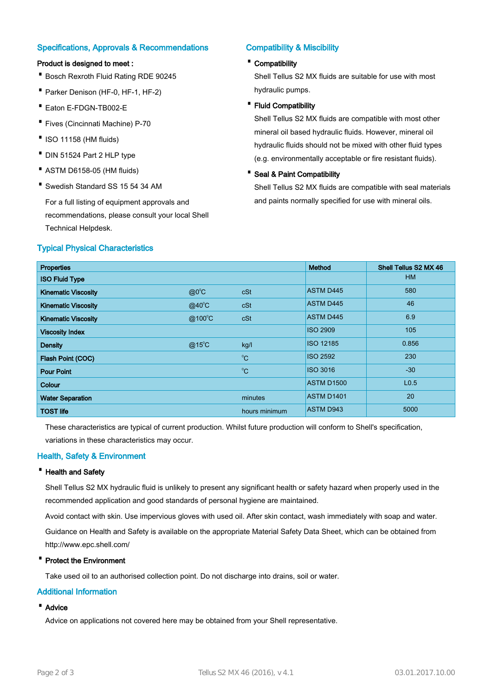#### Specifications, Approvals & Recommendations

#### Product is designed to meet :

- · Bosch Rexroth Fluid Rating RDE 90245
- · Parker Denison (HF-0, HF-1, HF-2)
- · Eaton E-FDGN-TB002-E
- · Fives (Cincinnati Machine) P-70
- ·ISO 11158 (HM fluids)
- · DIN 51524 Part 2 HLP type
- · ASTM D6158-05 (HM fluids)
- · Swedish Standard SS 15 54 34 AM For a full listing of equipment approvals and recommendations, please consult your local Shell Technical Helpdesk.

## Typical Physical Characteristics

## Compatibility & Miscibility

#### · Compatibility

Shell Tellus S2 MX fluids are suitable for use with most hydraulic pumps.

· Fluid Compatibility

Shell Tellus S2 MX fluids are compatible with most other mineral oil based hydraulic fluids. However, mineral oil hydraulic fluids should not be mixed with other fluid types (e.g. environmentally acceptable or fire resistant fluids).

· Seal & Paint Compatibility

Shell Tellus S2 MX fluids are compatible with seal materials and paints normally specified for use with mineral oils.

| <b>Properties</b>          |                  |               | Method            | Shell Tellus S2 MX 46 |
|----------------------------|------------------|---------------|-------------------|-----------------------|
| <b>ISO Fluid Type</b>      |                  |               |                   | <b>HM</b>             |
| <b>Kinematic Viscosity</b> | $@0^{\circ}C$    | cSt           | <b>ASTM D445</b>  | 580                   |
| <b>Kinematic Viscosity</b> | $@40^{\circ}$ C  | cSt           | <b>ASTM D445</b>  | 46                    |
| <b>Kinematic Viscosity</b> | $@100^{\circ}$ C | cSt           | <b>ASTM D445</b>  | 6.9                   |
| <b>Viscosity Index</b>     |                  |               | <b>ISO 2909</b>   | 105                   |
| <b>Density</b>             | $@15^{\circ}$ C  | kg/l          | <b>ISO 12185</b>  | 0.856                 |
| Flash Point (COC)          |                  | $^{\circ}C$   | <b>ISO 2592</b>   | 230                   |
| <b>Pour Point</b>          |                  | $^{\circ}C$   | <b>ISO 3016</b>   | $-30$                 |
| <b>Colour</b>              |                  |               | <b>ASTM D1500</b> | L <sub>0.5</sub>      |
| <b>Water Separation</b>    |                  | minutes       | ASTM D1401        | 20                    |
| <b>TOST life</b>           |                  | hours minimum | <b>ASTM D943</b>  | 5000                  |

These characteristics are typical of current production. Whilst future production will conform to Shell's specification, variations in these characteristics may occur.

## Health, Safety & Environment

#### · Health and Safety

Shell Tellus S2 MX hydraulic fluid is unlikely to present any significant health or safety hazard when properly used in the recommended application and good standards of personal hygiene are maintained.

Avoid contact with skin. Use impervious gloves with used oil. After skin contact, wash immediately with soap and water.

Guidance on Health and Safety is available on the appropriate Material Safety Data Sheet, which can be obtained from http://www.epc.shell.com/

#### · Protect the Environment

Take used oil to an authorised collection point. Do not discharge into drains, soil or water.

#### Additional Information

#### · Advice

Advice on applications not covered here may be obtained from your Shell representative.